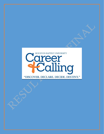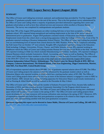# HBU Legacy Survey Report (August 2016)

## **SUMMARY**

The Office of Career and Calling has reviewed, analyzed, and synthesized data provided by 74 of the August 2016 graduates. 57 graduates actually made it to the end of the survey. This is the first graduate survey administered by the Office of Career and Calling where a majority of graduates provided information regarding their career and graduate school plans as well as how they utilized services and resources while enrolled at Houston Baptist University. The survey was completed by undergraduates and graduate students.

More than 78% of the August 2016 graduates are either working full-time or have been accepted to/seeking graduate school. 26% reported being unemployed and seeking employment at the time of the survey which is administered prior to graduation. August 2016 graduates consisted mainly of Education and Business students. Employment trends from this cohort show a strong hiring apparatus within the College of Education. 8 out of the 74 graduates reported working at Houston Independent School District. The Office of Career and Calling has presided over an overwhelming level of interest from school districts for HBU Huskies. Half of the 52 Employers attending the Fall Career Fair on October 13<sup>th</sup> were schools. Roughly 40% of graduates reported working in the Education Field including: Colleges, Universities, Private, Charter, and Public Schools. Nearly 20% reported working in Healthcare which the Office of Career and Calling includes Human Services and Social Work in this field. Another 14% reported working in Oil& Gas which included Manufacturing and Utilities. Similarly, 14% reported working in General Business which included Automotive, Retail, Accounting and Finance as well as Banking. The Office of Career and Calling projects these numbers to positively change as more Industry-Focused Career Fairs come online in the 2016-2017 school year. Here are just some of the employers who have hired the August 2016 Cohort: Houston Independent School District, Schlumberger, The Harris Center for Mental Health & IDD, BBVAA Compass, Cameron International, The Kinkaid School, Gulf State Engineering, Diggs Construction, Marriot, Alief ISD, Fort Bend ISD, United Health Group.

54% of respondents reported salaries above \$50,000. 13% of graduates reported salaries above \$75,000. The Office of Career and Calling projects the salaries are heavily influenced by the graduate student cohort as well as Education Majors who reported working at HISD which has a starting teacher salary of \$51,500. The Office of Career and Calling projects these salaries to increase as more of the business industry is engaged to come to HBU to recruit Huskies. HBU already has a strong recruiting apparatus for Education Majors as previously mentioned as well as Nursing & Allied Health as will be realized in the December & May Cohort.

The Office of Career and Calling increased the number of Industry-Focused Career Fairs, became fully staffed in November of 2016, and thus launched its new Community Internship/Co-Op Program which focuses on Internship/Co-Op Placement for Huskies. The Office of Career and Calling will also be moving into a dedicated space which will become a Career Center in the spring of 2017. The Office of Career and Calling projects these recent developments and new resources will increase utilization rates starting in the spring of 2017. Moreover, 85% of respondents reported their belief that their post-graduation occupation to be related to their degree and career goals and most indicated being satisfied with their post-graduation occupation.

Questions regarding this report can be directed to James Mable, Director of Career and Calling, 281-649-3513, [jmable@hbu.edu,](mailto:jmable@hbu.edu) [www.hbu.edu/careerandcalling](http://www.hbu.edu/careerandcalling)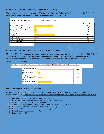#### HUSKIES BY THE NUMBERS: Who responded to the survey?

The colleges represented in the summer of 2016 were the Dunham College of Business as well as the College of Education & Behavioral Services as they accounted for 77% of the responses.

| Please indicate which college/school your major/degree is closely associated. |  |                         |
|-------------------------------------------------------------------------------|--|-------------------------|
|                                                                               |  | <b>Response Percent</b> |
| Dunham College of Business                                                    |  | 36%                     |
| School of Nursing & Allied Health                                             |  | $4\%$                   |
| College of Science & Mathematics                                              |  | 5%                      |
| School of Christian Thought                                                   |  | 4%                      |
| College of Education & Behavioral<br>Sciences                                 |  | 41%                     |
| School of Fine Arts                                                           |  | 9%                      |
| School of Humanities                                                          |  | 4%                      |
| The Honors College                                                            |  | $1\%$                   |
|                                                                               |  |                         |

## HUSKIES BY THE NUMBERS: What are your plans after college?

More than 70% of the graduates are either working or have been accepted to/seeking graduate school. The Office of Career and Calling projects that the number of unemployed is due to some of the students intending to seek graduate school choosing not to work during the transition from their undergraduate degree to their master/professional degree.



# POPULAR INDUSTRIES FOR HUSKIES

As indicated earlier, most of the respondents were from the College of Business and College of Education & Behavioral Sciences. Here are the top eight industries that were represented by August 2016 graduates from HBU:

- 1. Education (Private, Public, College, University) 24 (37%)
- 2. Healthcare (Human Services, Social Work, Nursing, etc.) 11 (17%)
- 3. Oil & Gas (Manufacturing, Utilities) 9 (14%)
- 4. General Business (Automotive, Retail, Banking, Finance, Accounting,) 9 (14%)
- 5. Non-Profit (Government, Criminal Justice, Ministry) 6 (9%)
- 6. Real Estate (Commercial & Residential Construction)  $4(6%)$
- 7. Hotel/Restaurant Management 3 (5%)
- 8. Entrepreneur 1  $(2\%)$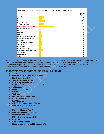| Please indicate which of the following industries your current employer is closely aligned? |  |
|---------------------------------------------------------------------------------------------|--|
|---------------------------------------------------------------------------------------------|--|

|                                                 | Response<br>Percent |
|-------------------------------------------------|---------------------|
| Oil & Gas                                       | 9%                  |
| Banking/Finance                                 | 5%                  |
| Healthcare                                      | 11%                 |
| <b>Higher Education</b><br>(College/University) | 8%                  |
| <b>Public/Private School Education</b>          | 29%                 |
| Residential/Commercial<br>Construction          | 3%                  |
| <b>Real Estate</b>                              | 3%                  |
| Retail                                          | 2%                  |
| Hotel/Restaurant Management                     | 5%                  |
| Local/State/Federal Government                  | 2%                  |
| Non-Profit                                      | 2%                  |
| Ministry/Church Services                        | 5%                  |
| Accounting                                      | 5%                  |
| Entrepreneur                                    | 2%                  |
| Legal/Criminal Justice                          | 2%                  |
| Human Services/Social Work                      | 6%                  |
| Automotive                                      | 2%                  |
| Manufacturing                                   | 3%                  |
| Utilities                                       | 2%                  |

Respondents were prompted to volunteer the name of their current employer after answering the question above. A significant number of graduates (eight) reported working at Houston Independent School District (8). HISD has been invited to Spring 2017 Career Fairs and is the first school district to conduct campus interviews. They would like to interview December & May graduates from the College of Education.

#### EMPLOYERS WHO HAVE HIRED AUGUST 2016 GRADUATES

- The Met
- Houston Independent School District
- Harris County CSCD
- Southwest Middle School
- C. E. King High School
- Fort Bend Independent School District
- Schlumberger
- Diggs Construction
- Salatta
- Walgreens
- Gulf Interstate Engineering
- BBVA COMPASS
- KIPP Houston
- Alief Independent School District
- Houston Baptist University
- The Kinkaid School (2)
- Kingsland Baptist Church
- Houston Community College
- United Health Group
- Michael Leanes Design LLC
- Cameron
- Courtyard by Marriott
- Harris Center for Mental Health and IDD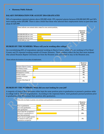#### Harmony Public Schools

#### SALARY INFORMATION FOR AUGUST 2016 GRADUATES

54% of respondents reported salaries above \$50,000 while 19% reported salaries between \$30,000-\$49,999 and 26% were making under \$30,000. There is also a belief that those who selected their employment status as part-time also chose \$1-\$29,999.

| Please indicate your annual salary range for your current position. |  |                     |
|---------------------------------------------------------------------|--|---------------------|
|                                                                     |  | Response<br>Percent |
| \$50,000-\$99,999 per year                                          |  | 54%                 |
| \$40,000-\$49,999 per year                                          |  | 8%                  |
| \$30,000-\$39,999 per year                                          |  | 11%                 |
| \$1-\$29,999 per year                                               |  | 26%                 |

#### HUSKIES BY THE NUMBERS: Where will you be working after college?

An overwhelming 84% of respondents reported working in Harris County while 10% are working in Fort Bend County and 5% reported working outside of Greater Houston. These numbers reflect the fact that most students who attend Houston Baptist University are from the Houston area and intend to stay in the Houston area.

Please indicate the location of your place of employment.

|                                  | Response<br>Percent |
|----------------------------------|---------------------|
| Houston/Harris County            | 84%                 |
| Fort Bend County                 | 10%                 |
| Brazoria County                  | 2%                  |
| <b>Montgomery County</b>         | $0\%$               |
| <b>Waller County</b>             | $0\%$               |
| Outside of Greater<br>Houston    | 5%                  |
| Outside of the State of<br>Texas | $0\%$               |

## HUSKIES BY THE NUMBERS: When did you start looking for your job?

A majority of August 2016 graduates either kept the same position prior to graduation or pursued a position while in college well in advance of graduation. According to the responses below, most graduates pursued positions prior to graduating while 8% pursued their position after graduation.

| When did you begin to pursue your primary post-graduation occupation?               |  |                     |
|-------------------------------------------------------------------------------------|--|---------------------|
|                                                                                     |  | Response<br>Percent |
| Prior to graduation                                                                 |  | 33%                 |
| At or near graduation                                                               |  | 3%                  |
| After graduation                                                                    |  | 8%                  |
| I have kept the occupation I<br>held prior to graduation or<br>have been promoted   |  | 39%                 |
| I have not yet sought and do<br>not intend to seek a post-<br>graduation occupation |  | 3%                  |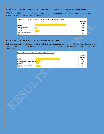## HUSKIES BY THE NUMBERS: Do you think your job is related to your degree and career goals?

85% of August 2016 graduates believe their post-graduation occupation is related to the degree they pursued at Houston Baptist University as well as their career goals.

| How related to your degree is your post-graduation occupation and career goals? |  |                     |
|---------------------------------------------------------------------------------|--|---------------------|
|                                                                                 |  | Response<br>Percent |
| Related                                                                         |  | 85%                 |
| Neither Related or<br>Unrelated                                                 |  | 3%                  |
| Unrelated                                                                       |  | 10%                 |
| Have not yet formed an<br>opinion                                               |  | 2%                  |

## HUSKIES BY THE NUMBERS: Are you satisfied with your job?

73% of respondents reported being satisfied with their post-graduation occupation. 18% were either dissatisfied or haven't formed an opinion of their occupation at the time of the survey. 8% were indifferent regarding their level of satisfaction.

| How satisfied are you with your post-graduation occupation? |  |                     |  |
|-------------------------------------------------------------|--|---------------------|--|
|                                                             |  | Response<br>Percent |  |
| Satisfied                                                   |  | 73%                 |  |
| Neither satisfied or dissatisfied                           |  | 8%                  |  |
| Dissatisfied                                                |  | 10%                 |  |
| Have not yet formed an<br>opinion                           |  | 8%                  |  |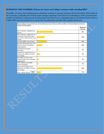## HUSKIES BY THE NUMBERS: Did you use Career and Calling's resources while attending HBU?

The Office of Career and Calling projects utilization numbers to increase starting with the December 2016 cohort as the University Leadership has recently made changes regarding Career Services Leadership as well as increased the number of staff and is in the process of relocating Career Services to a dedicated space in the Hinton Center which is a high traffic area and conducive to Career Services placement activities like Campus Interviews.

| Please indicate if you utilized any of the following Career Services while enrolled at Houston Baptist University. |  |                     |
|--------------------------------------------------------------------------------------------------------------------|--|---------------------|
| (Choose all that apply)                                                                                            |  |                     |
|                                                                                                                    |  | Response<br>Percent |
| Hire-A-Husky: Uploaded my<br>resume                                                                                |  | 31%                 |
| Hire-A-Husky: Applied for an<br>internship/work-study/part-<br>time and/or full-time job in the<br>system          |  | 15%                 |
| <b>Attended HBU Career Fairs</b>                                                                                   |  | 19%                 |
| Resume/Mock Interview/Job<br>Search/Career Counseling<br>Appointments                                              |  | 10%                 |
| Attended On-Campus<br><b>Interviews</b>                                                                            |  | 2%                  |
| Applied for a position sent to<br>me from the Office of Career<br>and Calling                                      |  | 5%                  |
| The Office of Career and<br>Calling assisted me in finding<br>employment                                           |  | 3%                  |
| I have followed the HBU<br>Career Roadmap                                                                          |  | 2%                  |
| I have never used services<br>offered by the Office of Career<br>and Calling                                       |  | 49%                 |
| view<br>Other, please specify                                                                                      |  | 7%                  |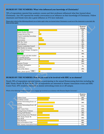# HUSKIES BY THE NUMBERS: What/who influenced your knowledge of Christianity?

70% of respondents reported that academic courses and their professors influenced what they learned about Christianity. Just 10% reported the weekly convocation as an influence on their knowledge of Christianity. Fellow classmates and friends were also a great influence as 31% have indicated.

Please select which of the following allowed you to better apply what you learned about Christianity in and out of the classroom to your daily life. Select all that apply:

|                                                       | Response<br>Percent |
|-------------------------------------------------------|---------------------|
| <b>Academic Courses</b>                               | 36%                 |
| <b>Baptist Student Ministries</b>                     | 2%                  |
| Campus Service Day                                    | 5%                  |
| Church Leadership Internships                         | $0\%$               |
| <b>CLW</b> Events                                     | 7%                  |
| Convocation                                           | 10%                 |
| <b>HBU Rec Team</b>                                   | $0\%$               |
| <b>Guest Speakers</b>                                 | 14%                 |
| Ministry Leadership Council                           | 0%                  |
| Bible Studies on campus                               | 2%                  |
| Para Church Groups: Navigators,<br>CRU, FCA           | 0%                  |
| Professors                                            | 34%                 |
| Quest/Fuego and other student<br>led worship services | 2%                  |
| Residence Life Events                                 | 2%                  |
| Staff                                                 | 20%                 |
| Students/Friends                                      | 31%                 |
| Theology/Apologetics<br>Conferences                   | 2%                  |
| None of the Above                                     | 25%                 |
| view<br>Other, please specify                         | 3%                  |

#### HUSKIES BY THE NUMBERS: How do you want to be involved with HBU as an alumnus?

Nearly 50% of respondents reported interest in participating in the annual Homecoming festivities including the HBU Husky Hustle 5K Run/Walk. 73% of respondents are interested in Alumni Association events and HBU Career Fairs. 65% would be interested in alumni networking events on or off campus.

Which of the following would motivate you to engage/get involved as an alumnus with Houston Baptist University?

|                                        | Response<br>Percent |
|----------------------------------------|---------------------|
| Athletic Event                         | 24%                 |
| Academic Lecture                       | 22%                 |
| Alumni Networking Event- on<br>campus  | 34%                 |
| Alumni Networking Event- off<br>campus | 31%                 |
| <b>HBU Career Fairs</b>                | 32%                 |
| Visiting Former Professor              | 41%                 |
| Visiting Staff Member                  | 10%                 |
| Homecoming Game/Weekend                | 24%                 |
| HBU Husky Hustle 5K<br>Run/Walk        | 24%                 |
| <b>Class Reunion</b>                   | 42%                 |
| Spirit of Excellence Gala              | 20%                 |
| HBU Alumni Association Event           | 41%                 |